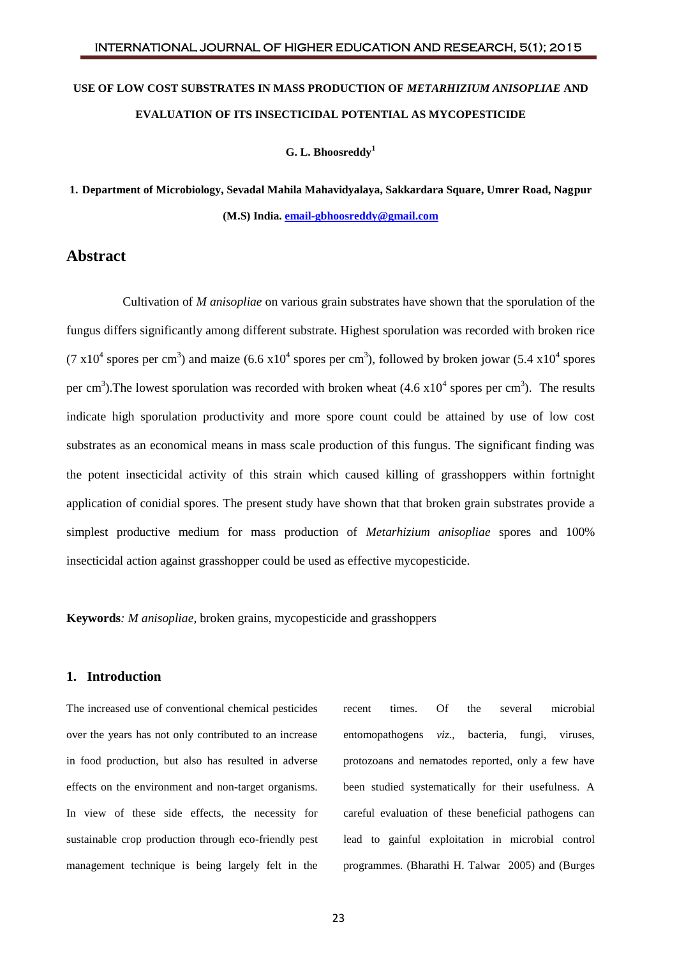# **USE OF LOW COST SUBSTRATES IN MASS PRODUCTION OF** *METARHIZIUM ANISOPLIAE* **AND EVALUATION OF ITS INSECTICIDAL POTENTIAL AS MYCOPESTICIDE**

**G. L. Bhoosreddy<sup>1</sup>**

**1. Department of Microbiology, Sevadal Mahila Mahavidyalaya, Sakkardara Square, Umrer Road, Nagpur (M.S) India[. email-gbhoosreddy@gmail.com](mailto:email-gbhoosreddy@gmail.com)**

# **Abstract**

Cultivation of *M anisopliae* on various grain substrates have shown that the sporulation of the fungus differs significantly among different substrate. Highest sporulation was recorded with broken rice (7 x10<sup>4</sup> spores per cm<sup>3</sup>) and maize (6.6 x10<sup>4</sup> spores per cm<sup>3</sup>), followed by broken jowar (5.4 x10<sup>4</sup> spores per cm<sup>3</sup>). The lowest sporulation was recorded with broken wheat  $(4.6 \times 10^4 \text{ spores per cm}^3)$ . The results indicate high sporulation productivity and more spore count could be attained by use of low cost substrates as an economical means in mass scale production of this fungus. The significant finding was the potent insecticidal activity of this strain which caused killing of grasshoppers within fortnight application of conidial spores. The present study have shown that that broken grain substrates provide a simplest productive medium for mass production of *Metarhizium anisopliae* spores and 100% insecticidal action against grasshopper could be used as effective mycopesticide.

**Keywords***: M anisopliae*, broken grains, mycopesticide and grasshoppers

## **1. Introduction**

The increased use of conventional chemical pesticides over the years has not only contributed to an increase in food production, but also has resulted in adverse effects on the environment and non-target organisms. In view of these side effects, the necessity for sustainable crop production through eco-friendly pest management technique is being largely felt in the

recent times. Of the several microbial entomopathogens *viz.*, bacteria, fungi, viruses, protozoans and nematodes reported, only a few have been studied systematically for their usefulness. A careful evaluation of these beneficial pathogens can lead to gainful exploitation in microbial control programmes. (Bharathi H. Talwar 2005) and (Burges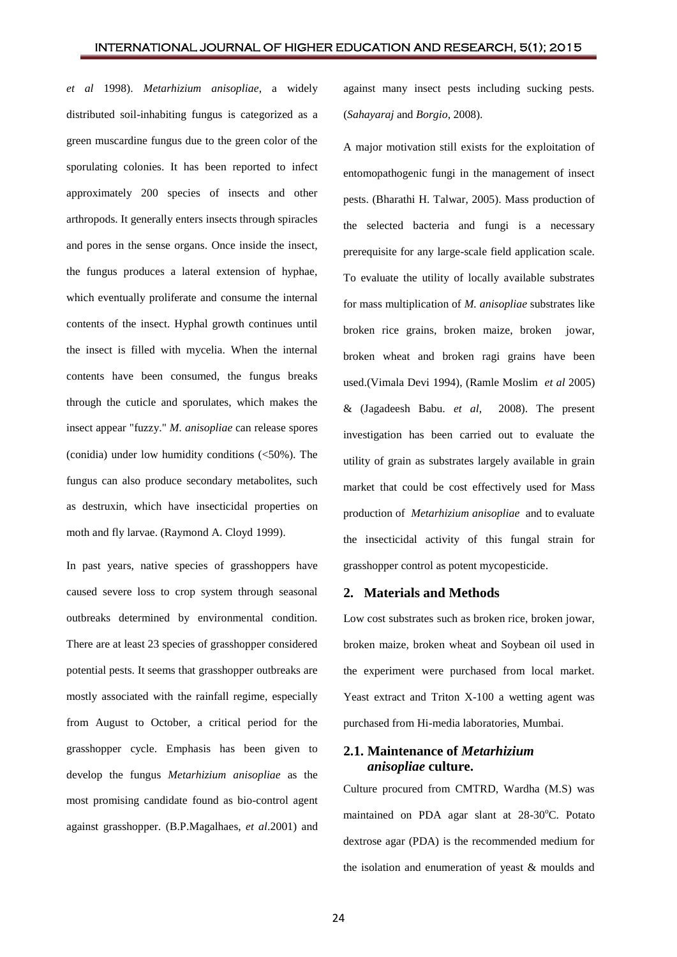*et al* 1998). *Metarhizium anisopliae*, a widely distributed soil-inhabiting fungus is categorized as a green muscardine fungus due to the green color of the sporulating colonies. It has been reported to infect approximately 200 species of insects and other arthropods. It generally enters insects through spiracles and pores in the sense organs. Once inside the insect, the fungus produces a lateral extension of hyphae, which eventually proliferate and consume the internal contents of the insect. Hyphal growth continues until the insect is filled with mycelia. When the internal contents have been consumed, the fungus breaks through the cuticle and sporulates, which makes the insect appear "fuzzy." *M. anisopliae* can release spores (conidia) under low humidity conditions (<50%). The fungus can also produce secondary metabolites, such as destruxin, which have insecticidal properties on moth and fly larvae. (Raymond A. Cloyd 1999).

In past years, native species of grasshoppers have caused severe loss to crop system through seasonal outbreaks determined by environmental condition. There are at least 23 species of grasshopper considered potential pests. It seems that grasshopper outbreaks are mostly associated with the rainfall regime, especially from August to October, a critical period for the grasshopper cycle. Emphasis has been given to develop the fungus *Metarhizium anisopliae* as the most promising candidate found as bio-control agent against grasshopper. (B.P.Magalhaes, *et al*.2001) and

against many insect pests including sucking pests. (*Sahayaraj* and *Borgio*, 2008).

A major motivation still exists for the exploitation of entomopathogenic fungi in the management of insect pests. (Bharathi H. Talwar, 2005). Mass production of the selected bacteria and fungi is a necessary prerequisite for any large-scale field application scale. To evaluate the utility of locally available substrates for mass multiplication of *M. anisopliae* substrates like broken rice grains, broken maize, broken jowar, broken wheat and broken ragi grains have been used.(Vimala Devi 1994), (Ramle Moslim *et al* 2005) & (Jagadeesh Babu. *et al*, 2008). The present investigation has been carried out to evaluate the utility of grain as substrates largely available in grain market that could be cost effectively used for Mass production of *Metarhizium anisopliae* and to evaluate the insecticidal activity of this fungal strain for grasshopper control as potent mycopesticide.

#### **2. Materials and Methods**

Low cost substrates such as broken rice, broken jowar, broken maize, broken wheat and Soybean oil used in the experiment were purchased from local market. Yeast extract and Triton X-100 a wetting agent was purchased from Hi-media laboratories, Mumbai.

## **2.1. Maintenance of** *Metarhizium anisopliae* **culture.**

Culture procured from CMTRD, Wardha (M.S) was maintained on PDA agar slant at  $28-30^{\circ}$ C. Potato dextrose agar (PDA) is the recommended medium for the isolation and enumeration of yeast & moulds and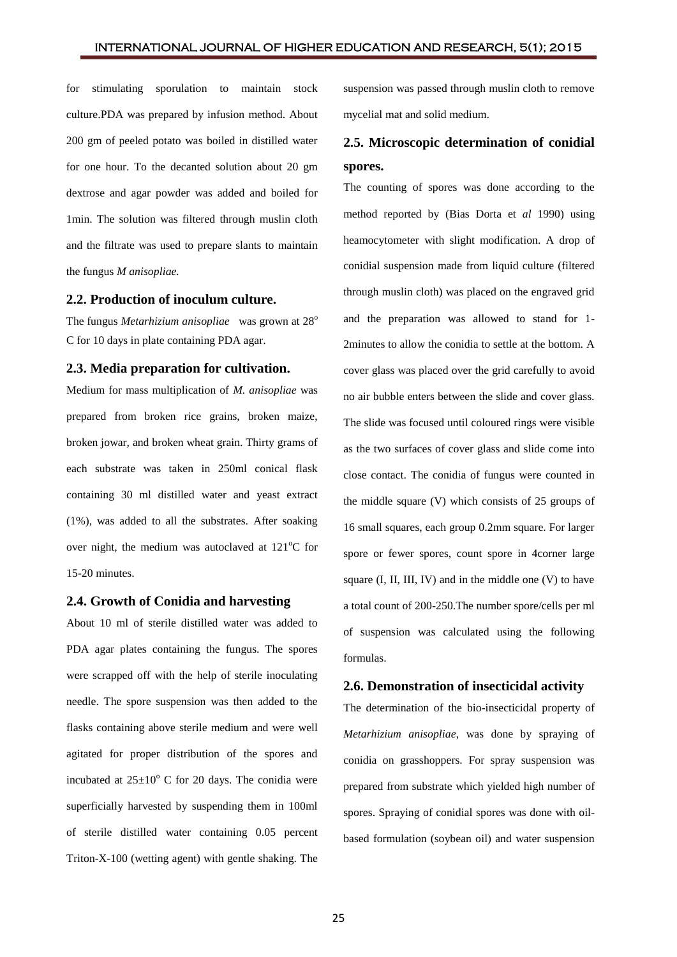for stimulating sporulation to maintain stock culture.PDA was prepared by infusion method. About 200 gm of peeled potato was boiled in distilled water for one hour. To the decanted solution about 20 gm dextrose and agar powder was added and boiled for 1min. The solution was filtered through muslin cloth and the filtrate was used to prepare slants to maintain the fungus *M anisopliae.*

### **2.2. Production of inoculum culture.**

The fungus *Metarhizium anisopliae* was grown at 28<sup>o</sup> C for 10 days in plate containing PDA agar.

### **2.3. Media preparation for cultivation.**

Medium for mass multiplication of *M. anisopliae* was prepared from broken rice grains, broken maize, broken jowar, and broken wheat grain. Thirty grams of each substrate was taken in 250ml conical flask containing 30 ml distilled water and yeast extract (1%), was added to all the substrates. After soaking over night, the medium was autoclaved at  $121^{\circ}$ C for 15-20 minutes.

### **2.4. Growth of Conidia and harvesting**

About 10 ml of sterile distilled water was added to PDA agar plates containing the fungus. The spores were scrapped off with the help of sterile inoculating needle. The spore suspension was then added to the flasks containing above sterile medium and were well agitated for proper distribution of the spores and incubated at  $25\pm10^{\circ}$  C for 20 days. The conidia were superficially harvested by suspending them in 100ml of sterile distilled water containing 0.05 percent Triton-X-100 (wetting agent) with gentle shaking. The

suspension was passed through muslin cloth to remove mycelial mat and solid medium.

# **2.5. Microscopic determination of conidial spores.**

The counting of spores was done according to the method reported by (Bias Dorta et *al* 1990) using heamocytometer with slight modification. A drop of conidial suspension made from liquid culture (filtered through muslin cloth) was placed on the engraved grid and the preparation was allowed to stand for 1- 2minutes to allow the conidia to settle at the bottom. A cover glass was placed over the grid carefully to avoid no air bubble enters between the slide and cover glass. The slide was focused until coloured rings were visible as the two surfaces of cover glass and slide come into close contact. The conidia of fungus were counted in the middle square (V) which consists of 25 groups of 16 small squares, each group 0.2mm square. For larger spore or fewer spores, count spore in 4corner large square  $(I, II, III, IV)$  and in the middle one  $(V)$  to have a total count of 200-250.The number spore/cells per ml of suspension was calculated using the following formulas.

### **2.6. Demonstration of insecticidal activity**

The determination of the bio-insecticidal property of *Metarhizium anisopliae*, was done by spraying of conidia on grasshoppers. For spray suspension was prepared from substrate which yielded high number of spores. Spraying of conidial spores was done with oilbased formulation (soybean oil) and water suspension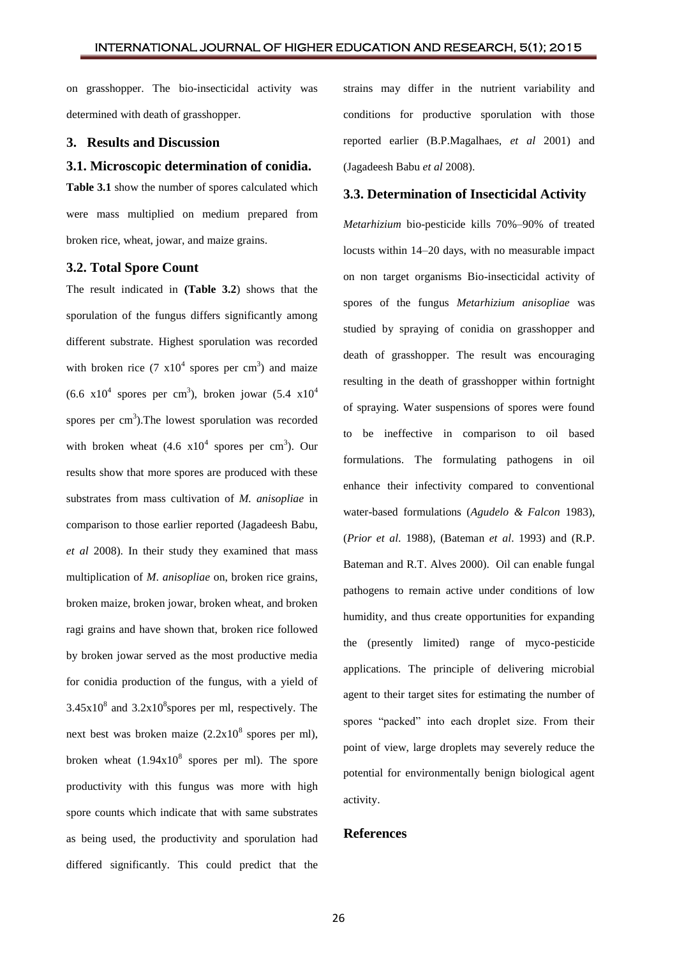on grasshopper. The bio-insecticidal activity was determined with death of grasshopper.

### **3. Results and Discussion**

**3.1. Microscopic determination of conidia.**

**Table 3.1** show the number of spores calculated which were mass multiplied on medium prepared from broken rice, wheat, jowar, and maize grains.

## **3.2. Total Spore Count**

The result indicated in **(Table 3.2**) shows that the sporulation of the fungus differs significantly among different substrate. Highest sporulation was recorded with broken rice  $(7 \times 10^4 \text{ spores per cm}^3)$  and maize  $(6.6 \text{ x}10^4 \text{ spores per cm}^3)$ , broken jowar  $(5.4 \text{ x}10^4 \text{ s})$ spores per  $\text{cm}^3$ ). The lowest sporulation was recorded with broken wheat  $(4.6 \times 10^4 \text{ spores per cm}^3)$ . Our results show that more spores are produced with these substrates from mass cultivation of *M. anisopliae* in comparison to those earlier reported (Jagadeesh Babu, *et al* 2008). In their study they examined that mass multiplication of *M*. *anisopliae* on, broken rice grains, broken maize, broken jowar, broken wheat, and broken ragi grains and have shown that, broken rice followed by broken jowar served as the most productive media for conidia production of the fungus, with a yield of  $3.45x10<sup>8</sup>$  and  $3.2x10<sup>8</sup>$  spores per ml, respectively. The next best was broken maize  $(2.2x10^8$  spores per ml), broken wheat  $(1.94x10^8$  spores per ml). The spore productivity with this fungus was more with high spore counts which indicate that with same substrates as being used, the productivity and sporulation had differed significantly. This could predict that the

strains may differ in the nutrient variability and conditions for productive sporulation with those reported earlier (B.P.Magalhaes, *et al* 2001) and (Jagadeesh Babu *et al* 2008).

### **3.3. Determination of Insecticidal Activity**

*Metarhizium* bio-pesticide kills 70%–90% of treated locusts within 14–20 days, with no measurable impact on non target organisms Bio-insecticidal activity of spores of the fungus *Metarhizium anisopliae* was studied by spraying of conidia on grasshopper and death of grasshopper. The result was encouraging resulting in the death of grasshopper within fortnight of spraying. Water suspensions of spores were found to be ineffective in comparison to oil based formulations. The formulating pathogens in oil enhance their infectivity compared to conventional water-based formulations (*Agudelo & Falcon* 1983), (*Prior et al*. 1988), (Bateman *et al*. 1993) and (R.P. Bateman and R.T. Alves 2000). Oil can enable fungal pathogens to remain active under conditions of low humidity, and thus create opportunities for expanding the (presently limited) range of myco-pesticide applications. The principle of delivering microbial agent to their target sites for estimating the number of spores "packed" into each droplet size. From their point of view, large droplets may severely reduce the potential for environmentally benign biological agent activity.

### **References**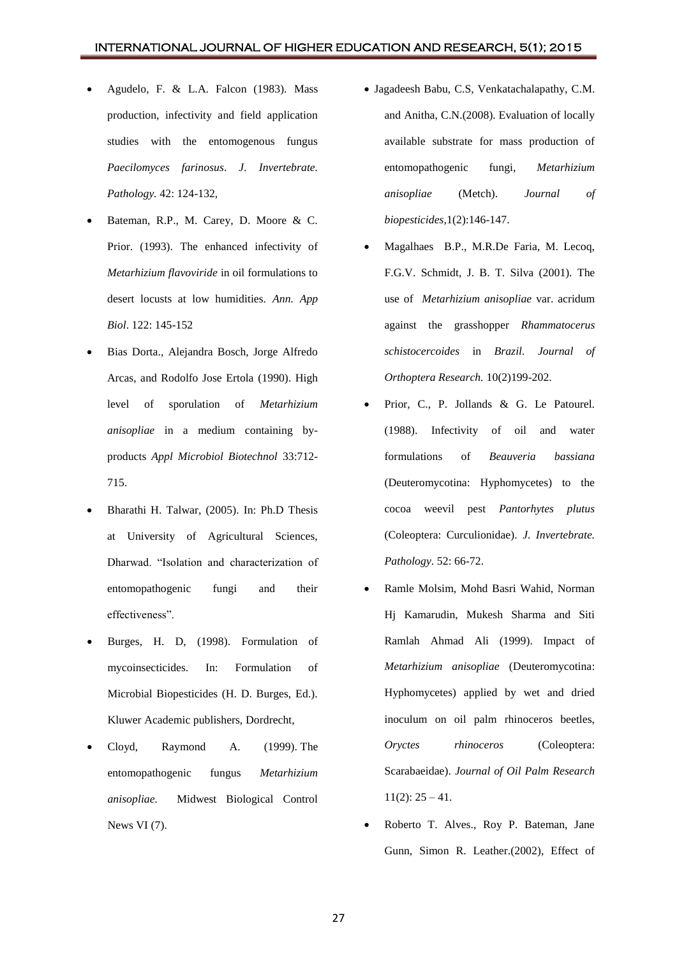- Agudelo, F. & L.A. Falcon (1983). Mass production, infectivity and field application studies with the entomogenous fungus *Paecilomyces farinosus*. *J. Invertebrate. Pathology.* 42: 124-132,
- Bateman, R.P., M. Carey, D. Moore & C. Prior. (1993). The enhanced infectivity of *Metarhizium flavoviride* in oil formulations to desert locusts at low humidities. *Ann. App Biol*. 122: 145-152
- Bias Dorta., Alejandra Bosch, Jorge Alfredo Arcas, and Rodolfo Jose Ertola (1990). High level of sporulation of *Metarhizium anisopliae* in a medium containing byproducts *Appl Microbiol Biotechnol* 33:712- 715.
- Bharathi H. Talwar, (2005). In: Ph.D Thesis at University of Agricultural Sciences, Dharwad. "Isolation and characterization of entomopathogenic fungi and their effectiveness".
- Burges, H. D, (1998). Formulation of mycoinsecticides. In: Formulation of Microbial Biopesticides (H. D. Burges, Ed.). Kluwer Academic publishers, Dordrecht,
- Cloyd, Raymond A. (1999). [The](http://www.entomology.wisc.edu/mbcn/kyf607.html)  [entomopathogenic fungus](http://www.entomology.wisc.edu/mbcn/kyf607.html) *Metarhizium [anisopliae.](http://www.entomology.wisc.edu/mbcn/kyf607.html)* Midwest Biological Control News VI (7).
- Jagadeesh Babu, C.S, Venkatachalapathy, C.M. and Anitha, C.N.(2008). Evaluation of locally available substrate for mass production of entomopathogenic fungi, *Metarhizium anisopliae* (Metch). *Journal of biopesticides,*1(2):146-147.
- Magalhaes B.P., M.R.De Faria, M. Lecoq, F.G.V. Schmidt, J. B. T. Silva (2001). The use of *Metarhizium anisopliae* var. acridum against the grasshopper *Rhammatocerus schistocercoides* in *Brazil. Journal of Orthoptera Research.* 10(2)199-202.
- Prior, C., P. Jollands & G. Le Patourel. (1988). Infectivity of oil and water formulations of *Beauveria bassiana* (Deuteromycotina: Hyphomycetes) to the cocoa weevil pest *Pantorhytes plutus* (Coleoptera: Curculionidae). *J. Invertebrate. Pathology*. 52: 66-72.
- Ramle Molsim, Mohd Basri Wahid, Norman Hj Kamarudin, Mukesh Sharma and Siti Ramlah Ahmad Ali (1999). Impact of *Metarhizium anisopliae* (Deuteromycotina: Hyphomycetes) applied by wet and dried inoculum on oil palm rhinoceros beetles, *Oryctes rhinoceros* (Coleoptera: Scarabaeidae). *Journal of Oil Palm Research*   $11(2): 25 - 41.$
- Roberto T. Alves., Roy P. Bateman, Jane Gunn, Simon R. Leather.(2002), Effect of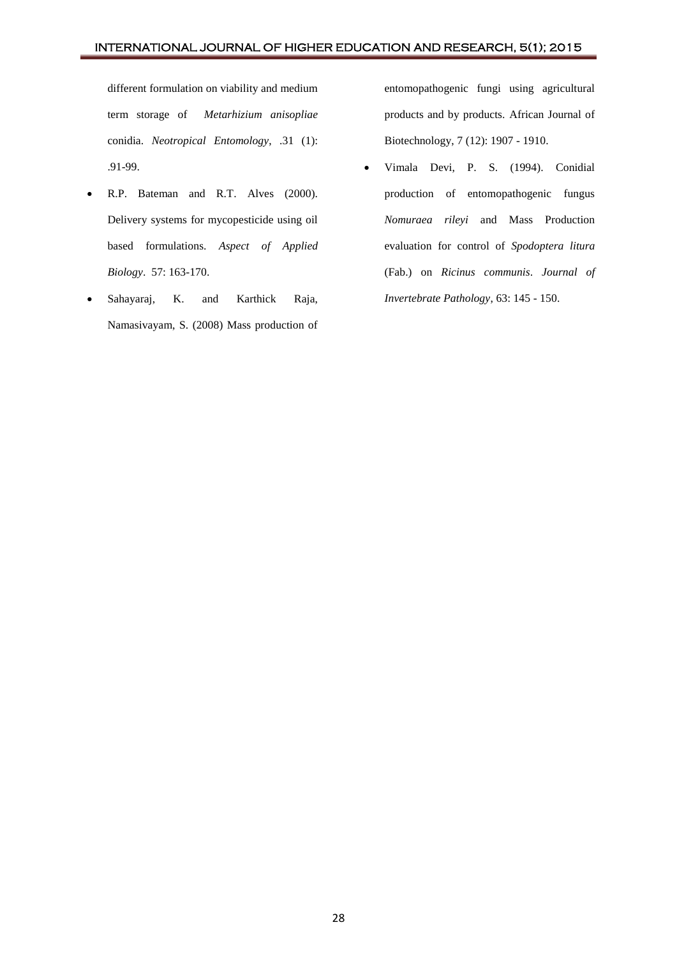different formulation on viability and medium term storage of *Metarhizium anisopliae*  conidia. *Neotropical Entomology*, .31 (1): .91-99.

- R.P. Bateman and R.T. Alves (2000). Delivery systems for mycopesticide using oil based formulations. *Aspect of Applied Biology*. 57: 163-170.
- Sahayaraj, K. and Karthick Raja, Namasivayam, S. (2008) Mass production of

entomopathogenic fungi using agricultural products and by products. African Journal of Biotechnology, 7 (12): 1907 - 1910.

 Vimala Devi, P. S. (1994). Conidial production of entomopathogenic fungus *Nomuraea rileyi* and Mass Production evaluation for control of *Spodoptera litura*  (Fab.) on *Ricinus communis*. *Journal of Invertebrate Pathology*, 63: 145 - 150.